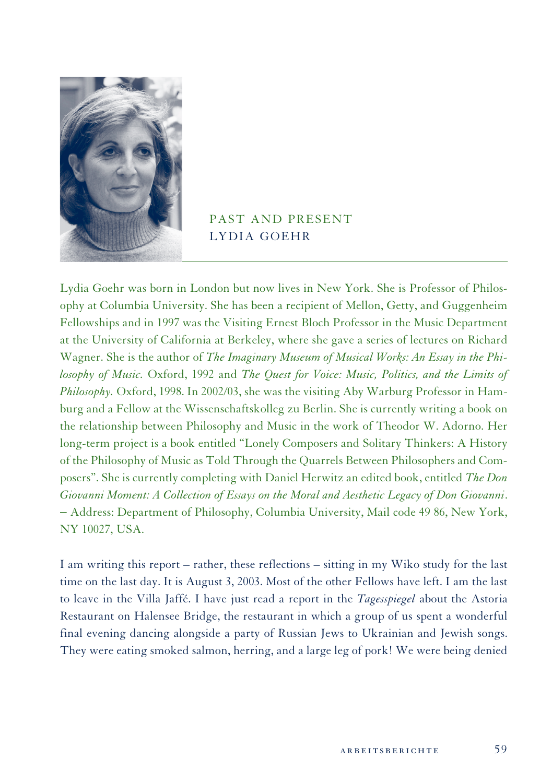

## PAST AND PRESENT LYDIA GOEHR

Lydia Goehr was born in London but now lives in New York. She is Professor of Philosophy at Columbia University. She has been a recipient of Mellon, Getty, and Guggenheim Fellowships and in 1997 was the Visiting Ernest Bloch Professor in the Music Department at the University of California at Berkeley, where she gave a series of lectures on Richard Wagner. She is the author of *The Imaginary Museum of Musical Works: An Essay in the Philosophy of Music.* Oxford, 1992 and *The Quest for Voice: Music, Politics, and the Limits of Philosophy.* Oxford, 1998. In 2002/03, she was the visiting Aby Warburg Professor in Hamburg and a Fellow at the Wissenschaftskolleg zu Berlin. She is currently writing a book on the relationship between Philosophy and Music in the work of Theodor W. Adorno. Her long-term project is a book entitled "Lonely Composers and Solitary Thinkers: A History of the Philosophy of Music as Told Through the Quarrels Between Philosophers and Composers". She is currently completing with Daniel Herwitz an edited book, entitled *The Don Giovanni Moment: A Collection of Essays on the Moral and Aesthetic Legacy of Don Giovanni*. − Address: Department of Philosophy, Columbia University, Mail code 49 86, New York, NY 10027, USA.

I am writing this report – rather, these reflections – sitting in my Wiko study for the last time on the last day. It is August 3, 2003. Most of the other Fellows have left. I am the last to leave in the Villa Jaffé. I have just read a report in the *Tagesspiegel* about the Astoria Restaurant on Halensee Bridge, the restaurant in which a group of us spent a wonderful final evening dancing alongside a party of Russian Jews to Ukrainian and Jewish songs. They were eating smoked salmon, herring, and a large leg of pork! We were being denied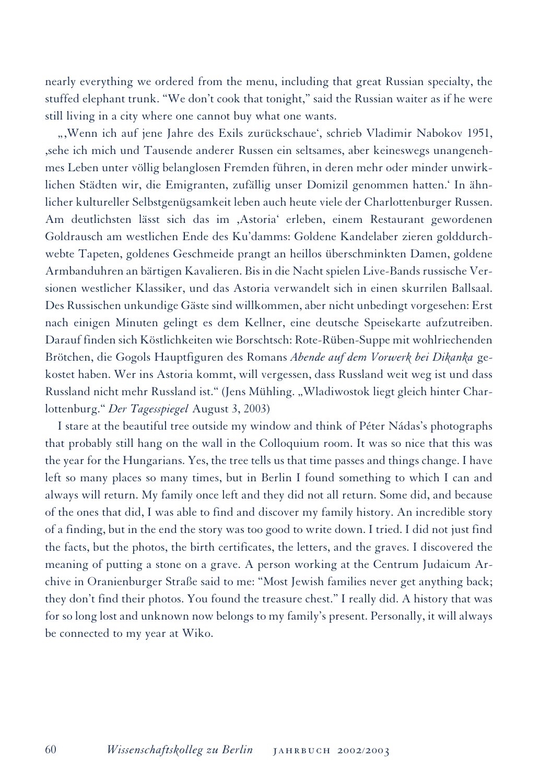nearly everything we ordered from the menu, including that great Russian specialty, the stuffed elephant trunk. "We don't cook that tonight," said the Russian waiter as if he were still living in a city where one cannot buy what one wants.

",Wenn ich auf jene Jahre des Exils zurückschaue', schrieb Vladimir Nabokov 1951, ,sehe ich mich und Tausende anderer Russen ein seltsames, aber keineswegs unangenehmes Leben unter völlig belanglosen Fremden führen, in deren mehr oder minder unwirklichen Städten wir, die Emigranten, zufällig unser Domizil genommen hatten.' In ähnlicher kultureller Selbstgenügsamkeit leben auch heute viele der Charlottenburger Russen. Am deutlichsten lässt sich das im ,Astoria' erleben, einem Restaurant gewordenen Goldrausch am westlichen Ende des Ku'damms: Goldene Kandelaber zieren golddurchwebte Tapeten, goldenes Geschmeide prangt an heillos überschminkten Damen, goldene Armbanduhren an bärtigen Kavalieren. Bis in die Nacht spielen Live-Bands russische Versionen westlicher Klassiker, und das Astoria verwandelt sich in einen skurrilen Ballsaal. Des Russischen unkundige Gäste sind willkommen, aber nicht unbedingt vorgesehen: Erst nach einigen Minuten gelingt es dem Kellner, eine deutsche Speisekarte aufzutreiben. Darauf finden sich Köstlichkeiten wie Borschtsch: Rote-Rüben-Suppe mit wohlriechenden Brötchen, die Gogols Hauptfiguren des Romans *Abende auf dem Vorwerk bei Dikanka* gekostet haben. Wer ins Astoria kommt, will vergessen, dass Russland weit weg ist und dass Russland nicht mehr Russland ist." (Jens Mühling. "Wladiwostok liegt gleich hinter Charlottenburg." *Der Tagesspiegel* August 3, 2003)

I stare at the beautiful tree outside my window and think of Péter Nádas's photographs that probably still hang on the wall in the Colloquium room. It was so nice that this was the year for the Hungarians. Yes, the tree tells us that time passes and things change. I have left so many places so many times, but in Berlin I found something to which I can and always will return. My family once left and they did not all return. Some did, and because of the ones that did, I was able to find and discover my family history. An incredible story of a finding, but in the end the story was too good to write down. I tried. I did not just find the facts, but the photos, the birth certificates, the letters, and the graves. I discovered the meaning of putting a stone on a grave. A person working at the Centrum Judaicum Archive in Oranienburger Straße said to me: "Most Jewish families never get anything back; they don't find their photos. You found the treasure chest." I really did. A history that was for so long lost and unknown now belongs to my family's present. Personally, it will always be connected to my year at Wiko.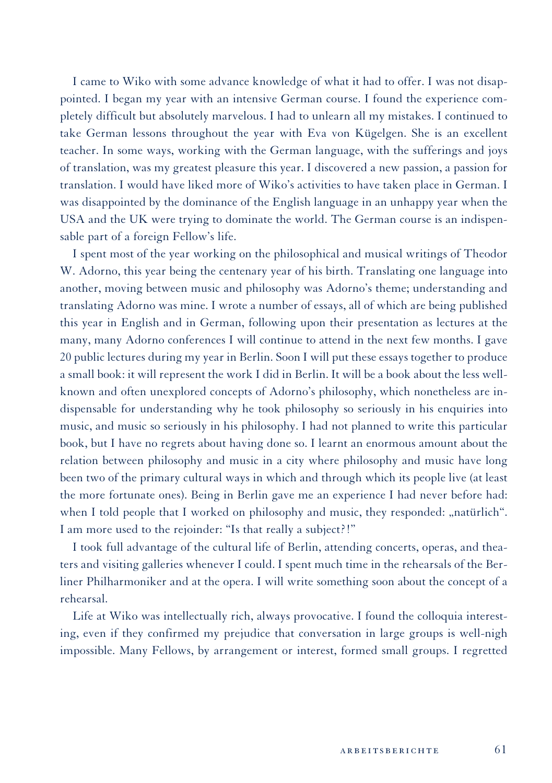I came to Wiko with some advance knowledge of what it had to offer. I was not disappointed. I began my year with an intensive German course. I found the experience completely difficult but absolutely marvelous. I had to unlearn all my mistakes. I continued to take German lessons throughout the year with Eva von Kügelgen. She is an excellent teacher. In some ways, working with the German language, with the sufferings and joys of translation, was my greatest pleasure this year. I discovered a new passion, a passion for translation. I would have liked more of Wiko's activities to have taken place in German. I was disappointed by the dominance of the English language in an unhappy year when the USA and the UK were trying to dominate the world. The German course is an indispensable part of a foreign Fellow's life.

I spent most of the year working on the philosophical and musical writings of Theodor W. Adorno, this year being the centenary year of his birth. Translating one language into another, moving between music and philosophy was Adorno's theme; understanding and translating Adorno was mine. I wrote a number of essays, all of which are being published this year in English and in German, following upon their presentation as lectures at the many, many Adorno conferences I will continue to attend in the next few months. I gave 20 public lectures during my year in Berlin. Soon I will put these essays together to produce a small book: it will represent the work I did in Berlin. It will be a book about the less wellknown and often unexplored concepts of Adorno's philosophy, which nonetheless are indispensable for understanding why he took philosophy so seriously in his enquiries into music, and music so seriously in his philosophy. I had not planned to write this particular book, but I have no regrets about having done so. I learnt an enormous amount about the relation between philosophy and music in a city where philosophy and music have long been two of the primary cultural ways in which and through which its people live (at least the more fortunate ones). Being in Berlin gave me an experience I had never before had: when I told people that I worked on philosophy and music, they responded: "natürlich". I am more used to the rejoinder: "Is that really a subject?!"

I took full advantage of the cultural life of Berlin, attending concerts, operas, and theaters and visiting galleries whenever I could. I spent much time in the rehearsals of the Berliner Philharmoniker and at the opera. I will write something soon about the concept of a rehearsal.

Life at Wiko was intellectually rich, always provocative. I found the colloquia interesting, even if they confirmed my prejudice that conversation in large groups is well-nigh impossible. Many Fellows, by arrangement or interest, formed small groups. I regretted